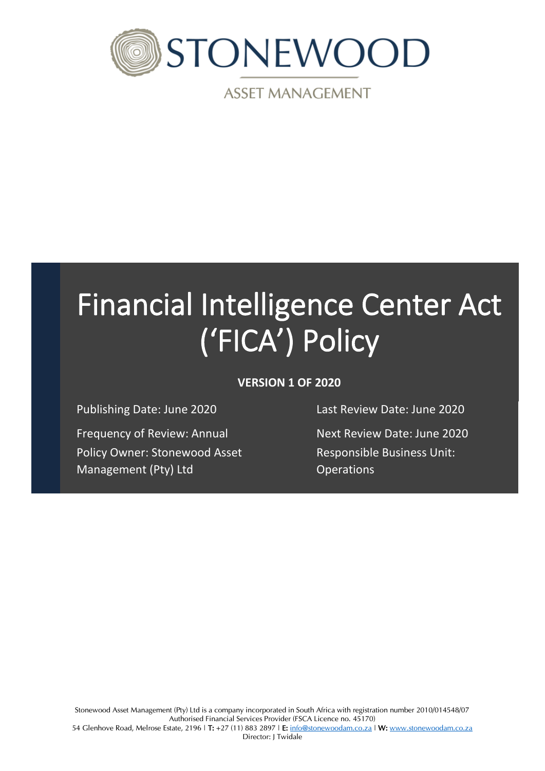

**ASSET MANAGEMENT** 

# Financial Intelligence Center Act ('FICA') Policy

# **VERSION 1 OF 2020**

Frequency of Review: Annual Next Review Date: June 2020 Policy Owner: Stonewood Asset Management (Pty) Ltd

Publishing Date: June 2020 Last Review Date: June 2020

Responsible Business Unit: **Operations**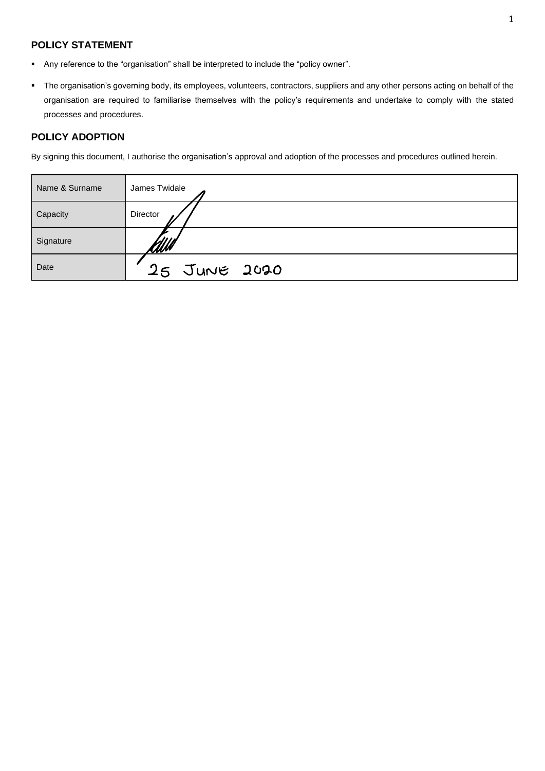# **POLICY STATEMENT**

- Any reference to the "organisation" shall be interpreted to include the "policy owner".
- The organisation's governing body, its employees, volunteers, contractors, suppliers and any other persons acting on behalf of the organisation are required to familiarise themselves with the policy's requirements and undertake to comply with the stated processes and procedures.

### **POLICY ADOPTION**

By signing this document, I authorise the organisation's approval and adoption of the processes and procedures outlined herein.

| Name & Surname | James Twidale |
|----------------|---------------|
| Capacity       | Director      |
| Signature      | <u> MM</u>    |
| Date           | 25 JUNE 2020  |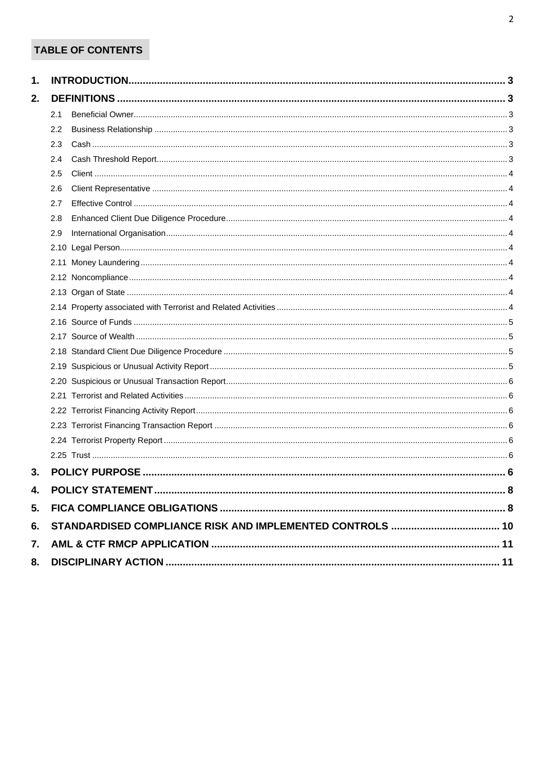# TABLE OF CONTENTS

| 1. |     |  |  |  |  |
|----|-----|--|--|--|--|
| 2. |     |  |  |  |  |
|    | 2.1 |  |  |  |  |
|    | 2.2 |  |  |  |  |
|    | 2.3 |  |  |  |  |
|    | 2.4 |  |  |  |  |
|    | 2.5 |  |  |  |  |
|    | 2.6 |  |  |  |  |
|    | 2.7 |  |  |  |  |
|    | 2.8 |  |  |  |  |
|    | 2.9 |  |  |  |  |
|    |     |  |  |  |  |
|    |     |  |  |  |  |
|    |     |  |  |  |  |
|    |     |  |  |  |  |
|    |     |  |  |  |  |
|    |     |  |  |  |  |
|    |     |  |  |  |  |
|    |     |  |  |  |  |
|    |     |  |  |  |  |
|    |     |  |  |  |  |
|    |     |  |  |  |  |
|    |     |  |  |  |  |
|    |     |  |  |  |  |
|    |     |  |  |  |  |
|    |     |  |  |  |  |
| 3. |     |  |  |  |  |
| 4. |     |  |  |  |  |
| 5. |     |  |  |  |  |
| 6. |     |  |  |  |  |
| 7. |     |  |  |  |  |
| 8. |     |  |  |  |  |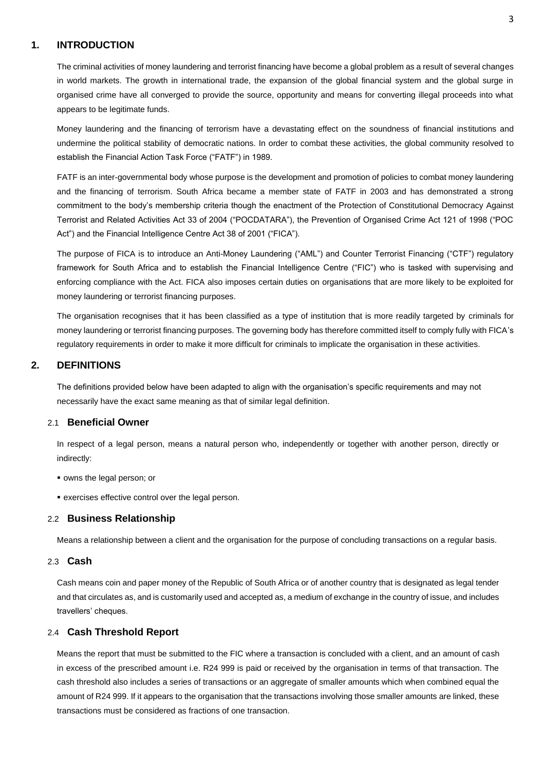# <span id="page-3-0"></span>**1. INTRODUCTION**

The criminal activities of money laundering and terrorist financing have become a global problem as a result of several changes in world markets. The growth in international trade, the expansion of the global financial system and the global surge in organised crime have all converged to provide the source, opportunity and means for converting illegal proceeds into what appears to be legitimate funds.

Money laundering and the financing of terrorism have a devastating effect on the soundness of financial institutions and undermine the political stability of democratic nations. In order to combat these activities, the global community resolved to establish the Financial Action Task Force ("FATF") in 1989.

FATF is an inter-governmental body whose purpose is the development and promotion of policies to combat money laundering and the financing of terrorism. South Africa became a member state of FATF in 2003 and has demonstrated a strong commitment to the body's membership criteria though the enactment of the Protection of Constitutional Democracy Against Terrorist and Related Activities Act 33 of 2004 ("POCDATARA"), the Prevention of Organised Crime Act 121 of 1998 ("POC Act") and the Financial Intelligence Centre Act 38 of 2001 ("FICA").

The purpose of FICA is to introduce an Anti-Money Laundering ("AML") and Counter Terrorist Financing ("CTF") regulatory framework for South Africa and to establish the Financial Intelligence Centre ("FIC") who is tasked with supervising and enforcing compliance with the Act. FICA also imposes certain duties on organisations that are more likely to be exploited for money laundering or terrorist financing purposes.

The organisation recognises that it has been classified as a type of institution that is more readily targeted by criminals for money laundering or terrorist financing purposes. The governing body has therefore committed itself to comply fully with FICA's regulatory requirements in order to make it more difficult for criminals to implicate the organisation in these activities.

#### <span id="page-3-1"></span>**2. DEFINITIONS**

The definitions provided below have been adapted to align with the organisation's specific requirements and may not necessarily have the exact same meaning as that of similar legal definition.

# <span id="page-3-2"></span>2.1 **Beneficial Owner**

In respect of a legal person, means a natural person who, independently or together with another person, directly or indirectly:

- owns the legal person; or
- **EXERCISES** effective control over the legal person.

#### <span id="page-3-3"></span>2.2 **Business Relationship**

Means a relationship between a client and the organisation for the purpose of concluding transactions on a regular basis.

#### <span id="page-3-4"></span>2.3 **Cash**

Cash means coin and paper money of the Republic of South Africa or of another country that is designated as legal tender and that circulates as, and is customarily used and accepted as, a medium of exchange in the country of issue, and includes travellers' cheques.

#### <span id="page-3-5"></span>2.4 **Cash Threshold Report**

Means the report that must be submitted to the FIC where a transaction is concluded with a client, and an amount of cash in excess of the prescribed amount i.e. R24 999 is paid or received by the organisation in terms of that transaction. The cash threshold also includes a series of transactions or an aggregate of smaller amounts which when combined equal the amount of R24 999. If it appears to the organisation that the transactions involving those smaller amounts are linked, these transactions must be considered as fractions of one transaction.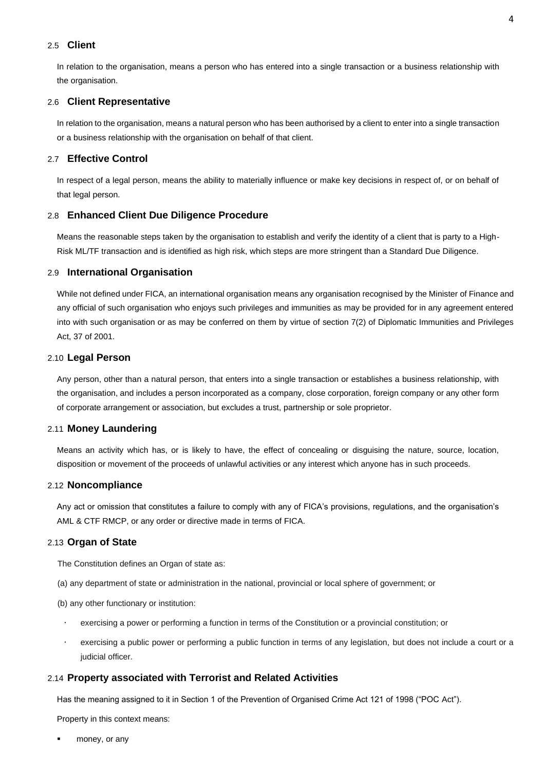#### <span id="page-4-0"></span>2.5 **Client**

In relation to the organisation, means a person who has entered into a single transaction or a business relationship with the organisation.

#### <span id="page-4-1"></span>2.6 **Client Representative**

In relation to the organisation, means a natural person who has been authorised by a client to enter into a single transaction or a business relationship with the organisation on behalf of that client.

#### <span id="page-4-2"></span>2.7 **Effective Control**

In respect of a legal person, means the ability to materially influence or make key decisions in respect of, or on behalf of that legal person.

#### <span id="page-4-3"></span>2.8 **Enhanced Client Due Diligence Procedure**

Means the reasonable steps taken by the organisation to establish and verify the identity of a client that is party to a High-Risk ML/TF transaction and is identified as high risk, which steps are more stringent than a Standard Due Diligence.

#### <span id="page-4-4"></span>2.9 **International Organisation**

While not defined under FICA, an international organisation means any organisation recognised by the Minister of Finance and any official of such organisation who enjoys such privileges and immunities as may be provided for in any agreement entered into with such organisation or as may be conferred on them by virtue of section 7(2) of Diplomatic Immunities and Privileges Act, 37 of 2001.

#### <span id="page-4-5"></span>2.10 **Legal Person**

Any person, other than a natural person, that enters into a single transaction or establishes a business relationship, with the organisation, and includes a person incorporated as a company, close corporation, foreign company or any other form of corporate arrangement or association, but excludes a trust, partnership or sole proprietor.

#### <span id="page-4-6"></span>2.11 **Money Laundering**

Means an activity which has, or is likely to have, the effect of concealing or disguising the nature, source, location, disposition or movement of the proceeds of unlawful activities or any interest which anyone has in such proceeds.

#### <span id="page-4-7"></span>2.12 **Noncompliance**

Any act or omission that constitutes a failure to comply with any of FICA's provisions, regulations, and the organisation's AML & CTF RMCP, or any order or directive made in terms of FICA.

#### <span id="page-4-8"></span>2.13 **Organ of State**

The Constitution defines an Organ of state as:

- (a) any department of state or administration in the national, provincial or local sphere of government; or
- (b) any other functionary or institution:
- exercising a power or performing a function in terms of the Constitution or a provincial constitution; or
- exercising a public power or performing a public function in terms of any legislation, but does not include a court or a judicial officer.

#### <span id="page-4-9"></span>2.14 **Property associated with Terrorist and Related Activities**

Has the meaning assigned to it in Section 1 of the Prevention of Organised Crime Act 121 of 1998 ("POC Act").

Property in this context means:

money, or any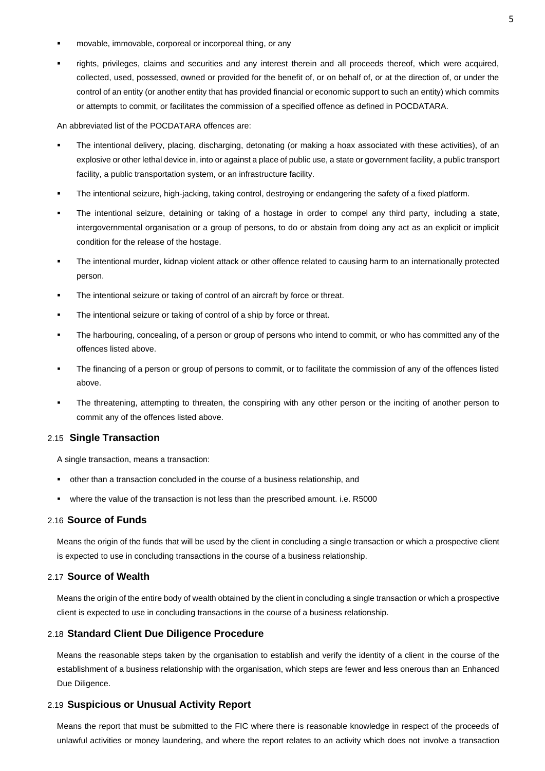- movable, immovable, corporeal or incorporeal thing, or any
- rights, privileges, claims and securities and any interest therein and all proceeds thereof, which were acquired, collected, used, possessed, owned or provided for the benefit of, or on behalf of, or at the direction of, or under the control of an entity (or another entity that has provided financial or economic support to such an entity) which commits or attempts to commit, or facilitates the commission of a specified offence as defined in POCDATARA.

An abbreviated list of the POCDATARA offences are:

- The intentional delivery, placing, discharging, detonating (or making a hoax associated with these activities), of an explosive or other lethal device in, into or against a place of public use, a state or government facility, a public transport facility, a public transportation system, or an infrastructure facility.
- The intentional seizure, high-jacking, taking control, destroying or endangering the safety of a fixed platform.
- The intentional seizure, detaining or taking of a hostage in order to compel any third party, including a state, intergovernmental organisation or a group of persons, to do or abstain from doing any act as an explicit or implicit condition for the release of the hostage.
- The intentional murder, kidnap violent attack or other offence related to causing harm to an internationally protected person.
- The intentional seizure or taking of control of an aircraft by force or threat.
- The intentional seizure or taking of control of a ship by force or threat.
- The harbouring, concealing, of a person or group of persons who intend to commit, or who has committed any of the offences listed above.
- The financing of a person or group of persons to commit, or to facilitate the commission of any of the offences listed above.
- The threatening, attempting to threaten, the conspiring with any other person or the inciting of another person to commit any of the offences listed above.

#### 2.15 **Single Transaction**

A single transaction, means a transaction:

- other than a transaction concluded in the course of a business relationship, and
- where the value of the transaction is not less than the prescribed amount. i.e. R5000

#### <span id="page-5-0"></span>2.16 **Source of Funds**

Means the origin of the funds that will be used by the client in concluding a single transaction or which a prospective client is expected to use in concluding transactions in the course of a business relationship.

#### <span id="page-5-1"></span>2.17 **Source of Wealth**

Means the origin of the entire body of wealth obtained by the client in concluding a single transaction or which a prospective client is expected to use in concluding transactions in the course of a business relationship.

#### <span id="page-5-2"></span>2.18 **Standard Client Due Diligence Procedure**

Means the reasonable steps taken by the organisation to establish and verify the identity of a client in the course of the establishment of a business relationship with the organisation, which steps are fewer and less onerous than an Enhanced Due Diligence.

#### <span id="page-5-3"></span>2.19 **Suspicious or Unusual Activity Report**

Means the report that must be submitted to the FIC where there is reasonable knowledge in respect of the proceeds of unlawful activities or money laundering, and where the report relates to an activity which does not involve a transaction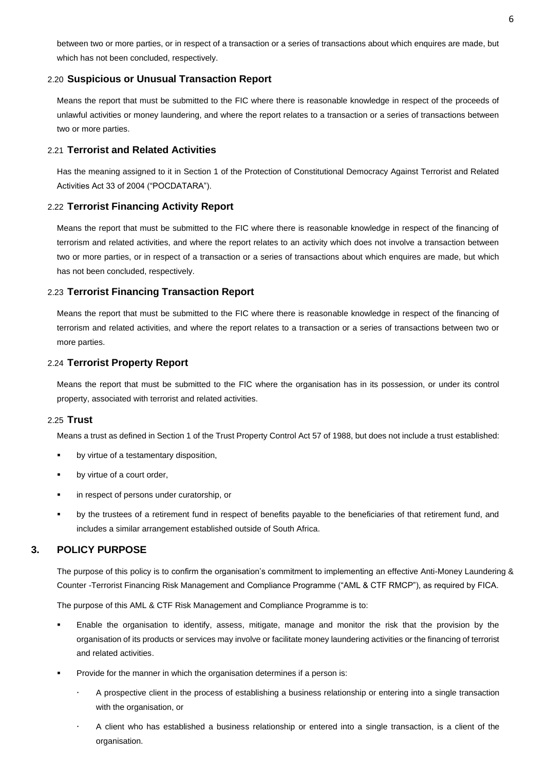between two or more parties, or in respect of a transaction or a series of transactions about which enquires are made, but which has not been concluded, respectively.

#### <span id="page-6-0"></span>2.20 **Suspicious or Unusual Transaction Report**

Means the report that must be submitted to the FIC where there is reasonable knowledge in respect of the proceeds of unlawful activities or money laundering, and where the report relates to a transaction or a series of transactions between two or more parties.

#### <span id="page-6-1"></span>2.21 **Terrorist and Related Activities**

Has the meaning assigned to it in Section 1 of the Protection of Constitutional Democracy Against Terrorist and Related Activities Act 33 of 2004 ("POCDATARA").

#### <span id="page-6-2"></span>2.22 **Terrorist Financing Activity Report**

Means the report that must be submitted to the FIC where there is reasonable knowledge in respect of the financing of terrorism and related activities, and where the report relates to an activity which does not involve a transaction between two or more parties, or in respect of a transaction or a series of transactions about which enquires are made, but which has not been concluded, respectively.

#### <span id="page-6-3"></span>2.23 **Terrorist Financing Transaction Report**

Means the report that must be submitted to the FIC where there is reasonable knowledge in respect of the financing of terrorism and related activities, and where the report relates to a transaction or a series of transactions between two or more parties.

#### <span id="page-6-4"></span>2.24 **Terrorist Property Report**

Means the report that must be submitted to the FIC where the organisation has in its possession, or under its control property, associated with terrorist and related activities.

#### <span id="page-6-5"></span>2.25 **Trust**

Means a trust as defined in Section 1 of the Trust Property Control Act 57 of 1988, but does not include a trust established:

- by virtue of a testamentary disposition,
- by virtue of a court order,
- in respect of persons under curatorship, or
- by the trustees of a retirement fund in respect of benefits payable to the beneficiaries of that retirement fund, and includes a similar arrangement established outside of South Africa.

#### <span id="page-6-6"></span>**3. POLICY PURPOSE**

The purpose of this policy is to confirm the organisation's commitment to implementing an effective Anti-Money Laundering & Counter -Terrorist Financing Risk Management and Compliance Programme ("AML & CTF RMCP"), as required by FICA.

The purpose of this AML & CTF Risk Management and Compliance Programme is to:

- Enable the organisation to identify, assess, mitigate, manage and monitor the risk that the provision by the organisation of its products or services may involve or facilitate money laundering activities or the financing of terrorist and related activities.
- Provide for the manner in which the organisation determines if a person is:
	- A prospective client in the process of establishing a business relationship or entering into a single transaction with the organisation, or
	- A client who has established a business relationship or entered into a single transaction, is a client of the organisation.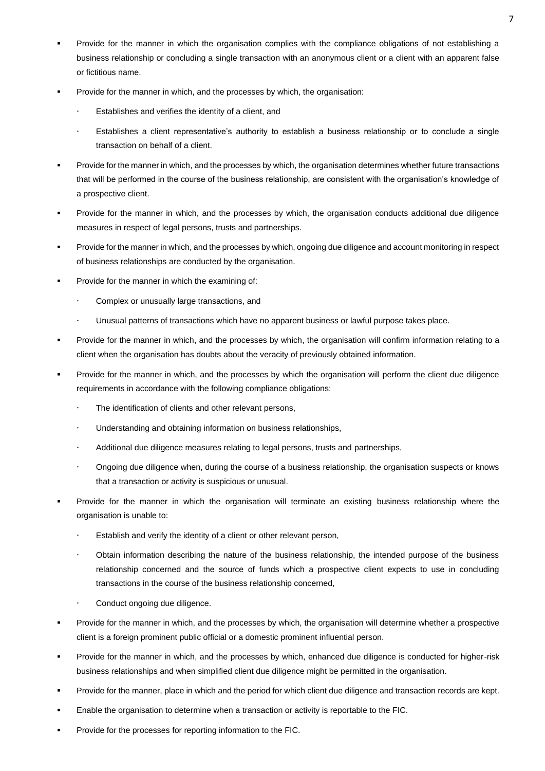- Provide for the manner in which the organisation complies with the compliance obligations of not establishing a business relationship or concluding a single transaction with an anonymous client or a client with an apparent false or fictitious name.
- Provide for the manner in which, and the processes by which, the organisation:
	- Establishes and verifies the identity of a client, and
	- Establishes a client representative's authority to establish a business relationship or to conclude a single transaction on behalf of a client.
- Provide for the manner in which, and the processes by which, the organisation determines whether future transactions that will be performed in the course of the business relationship, are consistent with the organisation's knowledge of a prospective client.
- Provide for the manner in which, and the processes by which, the organisation conducts additional due diligence measures in respect of legal persons, trusts and partnerships.
- Provide for the manner in which, and the processes by which, ongoing due diligence and account monitoring in respect of business relationships are conducted by the organisation.
- Provide for the manner in which the examining of:
	- Complex or unusually large transactions, and
	- Unusual patterns of transactions which have no apparent business or lawful purpose takes place.
- Provide for the manner in which, and the processes by which, the organisation will confirm information relating to a client when the organisation has doubts about the veracity of previously obtained information.
- Provide for the manner in which, and the processes by which the organisation will perform the client due diligence requirements in accordance with the following compliance obligations:
	- The identification of clients and other relevant persons,
	- Understanding and obtaining information on business relationships,
	- Additional due diligence measures relating to legal persons, trusts and partnerships,
	- Ongoing due diligence when, during the course of a business relationship, the organisation suspects or knows that a transaction or activity is suspicious or unusual.
- Provide for the manner in which the organisation will terminate an existing business relationship where the organisation is unable to:
	- Establish and verify the identity of a client or other relevant person,
	- Obtain information describing the nature of the business relationship, the intended purpose of the business relationship concerned and the source of funds which a prospective client expects to use in concluding transactions in the course of the business relationship concerned,
	- Conduct ongoing due diligence.
- Provide for the manner in which, and the processes by which, the organisation will determine whether a prospective client is a foreign prominent public official or a domestic prominent influential person.
- Provide for the manner in which, and the processes by which, enhanced due diligence is conducted for higher-risk business relationships and when simplified client due diligence might be permitted in the organisation.
- Provide for the manner, place in which and the period for which client due diligence and transaction records are kept.
- Enable the organisation to determine when a transaction or activity is reportable to the FIC.
- Provide for the processes for reporting information to the FIC.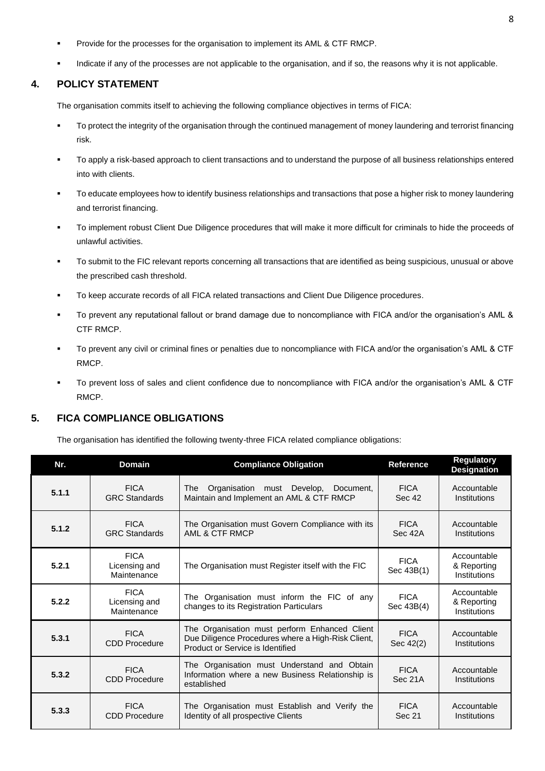- Provide for the processes for the organisation to implement its AML & CTF RMCP.
- Indicate if any of the processes are not applicable to the organisation, and if so, the reasons why it is not applicable.

#### <span id="page-8-0"></span>**4. POLICY STATEMENT**

The organisation commits itself to achieving the following compliance objectives in terms of FICA:

- To protect the integrity of the organisation through the continued management of money laundering and terrorist financing risk.
- To apply a risk-based approach to client transactions and to understand the purpose of all business relationships entered into with clients.
- To educate employees how to identify business relationships and transactions that pose a higher risk to money laundering and terrorist financing.
- To implement robust Client Due Diligence procedures that will make it more difficult for criminals to hide the proceeds of unlawful activities.
- To submit to the FIC relevant reports concerning all transactions that are identified as being suspicious, unusual or above the prescribed cash threshold.
- To keep accurate records of all FICA related transactions and Client Due Diligence procedures.
- To prevent any reputational fallout or brand damage due to noncompliance with FICA and/or the organisation's AML & CTF RMCP.
- To prevent any civil or criminal fines or penalties due to noncompliance with FICA and/or the organisation's AML & CTF RMCP.
- To prevent loss of sales and client confidence due to noncompliance with FICA and/or the organisation's AML & CTF RMCP.

# <span id="page-8-1"></span>**5. FICA COMPLIANCE OBLIGATIONS**

The organisation has identified the following twenty-three FICA related compliance obligations:

| Nr.                                                  | <b>Domain</b>                               | <b>Compliance Obligation</b>                                                                                                            |                           | <b>Regulatory</b><br><b>Designation</b>    |
|------------------------------------------------------|---------------------------------------------|-----------------------------------------------------------------------------------------------------------------------------------------|---------------------------|--------------------------------------------|
| 5.1.1                                                | <b>FICA</b><br><b>GRC Standards</b>         | Organisation must Develop,<br>Document.<br>The<br>Maintain and Implement an AML & CTF RMCP                                              | <b>FICA</b><br>Sec 42     | Accountable<br>Institutions                |
| 5.1.2                                                | <b>FICA</b><br><b>GRC Standards</b>         | The Organisation must Govern Compliance with its<br>AML & CTF RMCP                                                                      | <b>FICA</b><br>Sec 42A    | Accountable<br>Institutions                |
| <b>FICA</b><br>5.2.1<br>Licensing and<br>Maintenance |                                             | The Organisation must Register itself with the FIC                                                                                      | <b>FICA</b><br>Sec 43B(1) | Accountable<br>& Reporting<br>Institutions |
| 5.2.2                                                | <b>FICA</b><br>Licensing and<br>Maintenance | The Organisation must inform the FIC of any<br>changes to its Registration Particulars                                                  | <b>FICA</b><br>Sec 43B(4) | Accountable<br>& Reporting<br>Institutions |
| <b>FICA</b><br>5.3.1<br><b>CDD Procedure</b>         |                                             | The Organisation must perform Enhanced Client<br>Due Diligence Procedures where a High-Risk Client,<br>Product or Service is Identified | <b>FICA</b><br>Sec 42(2)  | Accountable<br>Institutions                |
| 5.3.2                                                | <b>FICA</b><br><b>CDD Procedure</b>         | The Organisation must Understand and Obtain<br>Information where a new Business Relationship is<br>established                          | <b>FICA</b><br>Sec 21A    | Accountable<br>Institutions                |
| 5.3.3                                                | <b>FICA</b><br>CDD Procedure                | The Organisation must Establish and Verify the<br>Identity of all prospective Clients                                                   | <b>FICA</b><br>Sec 21     | Accountable<br>Institutions                |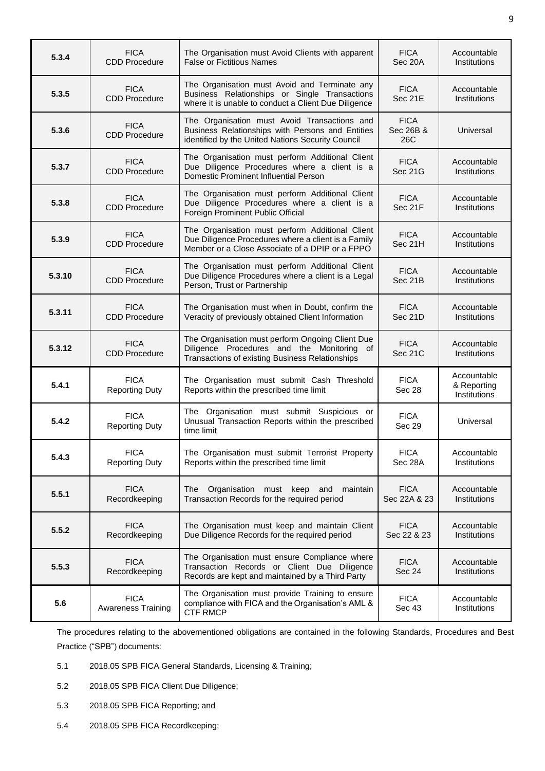| <b>FICA</b><br>5.3.4<br><b>CDD Procedure</b>  |                                      | The Organisation must Avoid Clients with apparent<br><b>False or Fictitious Names</b>                                                                     | <b>FICA</b><br>Sec 20A          | Accountable<br>Institutions                |
|-----------------------------------------------|--------------------------------------|-----------------------------------------------------------------------------------------------------------------------------------------------------------|---------------------------------|--------------------------------------------|
| <b>FICA</b><br>5.3.5<br><b>CDD Procedure</b>  |                                      | The Organisation must Avoid and Terminate any<br>Business Relationships or Single Transactions<br>where it is unable to conduct a Client Due Diligence    | <b>FICA</b><br>Sec 21E          | Accountable<br>Institutions                |
| <b>FICA</b><br>5.3.6<br><b>CDD Procedure</b>  |                                      | The Organisation must Avoid Transactions and<br>Business Relationships with Persons and Entities<br>identified by the United Nations Security Council     | <b>FICA</b><br>Sec 26B &<br>26C | Universal                                  |
| <b>FICA</b><br>5.3.7<br><b>CDD Procedure</b>  |                                      | The Organisation must perform Additional Client<br>Due Diligence Procedures where a client is a<br>Domestic Prominent Influential Person                  | <b>FICA</b><br>Sec 21G          | Accountable<br>Institutions                |
| <b>FICA</b><br>5.3.8<br><b>CDD Procedure</b>  |                                      | The Organisation must perform Additional Client<br>Due Diligence Procedures where a client is a<br>Foreign Prominent Public Official                      | <b>FICA</b><br>Sec 21F          | Accountable<br>Institutions                |
| <b>FICA</b><br>5.3.9<br><b>CDD Procedure</b>  |                                      | The Organisation must perform Additional Client<br>Due Diligence Procedures where a client is a Family<br>Member or a Close Associate of a DPIP or a FPPO | <b>FICA</b><br>Sec 21H          | Accountable<br>Institutions                |
| <b>FICA</b><br>5.3.10<br><b>CDD Procedure</b> |                                      | The Organisation must perform Additional Client<br>Due Diligence Procedures where a client is a Legal<br>Person, Trust or Partnership                     | <b>FICA</b><br>Sec 21B          | Accountable<br>Institutions                |
| 5.3.11                                        | <b>FICA</b><br><b>CDD Procedure</b>  | The Organisation must when in Doubt, confirm the<br>Veracity of previously obtained Client Information                                                    | <b>FICA</b><br>Sec 21D          | Accountable<br>Institutions                |
| 5.3.12                                        | <b>FICA</b><br><b>CDD Procedure</b>  | The Organisation must perform Ongoing Client Due<br>Diligence Procedures and the Monitoring of<br>Transactions of existing Business Relationships         | <b>FICA</b><br>Sec 21C          | Accountable<br>Institutions                |
| 5.4.1                                         | <b>FICA</b><br><b>Reporting Duty</b> | The Organisation must submit Cash Threshold<br>Reports within the prescribed time limit                                                                   | <b>FICA</b><br>Sec 28           | Accountable<br>& Reporting<br>Institutions |
| 5.4.2                                         | <b>FICA</b><br><b>Reporting Duty</b> | The Organisation must submit Suspicious or<br>Unusual Transaction Reports within the prescribed<br>time limit                                             | <b>FICA</b><br>Sec 29           | Universal                                  |
| 5.4.3                                         | <b>FICA</b><br><b>Reporting Duty</b> | The Organisation must submit Terrorist Property<br>Reports within the prescribed time limit                                                               | <b>FICA</b><br>Sec 28A          | Accountable<br>Institutions                |
| 5.5.1                                         | <b>FICA</b><br>Recordkeeping         | Organisation must keep and<br>The<br>maintain<br>Transaction Records for the required period                                                              | <b>FICA</b><br>Sec 22A & 23     | Accountable<br>Institutions                |
| 5.5.2                                         | <b>FICA</b><br>Recordkeeping         | The Organisation must keep and maintain Client<br>Due Diligence Records for the required period                                                           | <b>FICA</b><br>Sec 22 & 23      | Accountable<br>Institutions                |
| 5.5.3                                         | <b>FICA</b><br>Recordkeeping         | The Organisation must ensure Compliance where<br>Transaction Records or Client Due Diligence<br>Records are kept and maintained by a Third Party          | <b>FICA</b><br><b>Sec 24</b>    | Accountable<br>Institutions                |
| 5.6                                           | <b>FICA</b><br>Awareness Training    | The Organisation must provide Training to ensure<br>compliance with FICA and the Organisation's AML &<br><b>CTF RMCP</b>                                  | <b>FICA</b><br>Sec 43           | Accountable<br>Institutions                |

The procedures relating to the abovementioned obligations are contained in the following Standards, Procedures and Best Practice ("SPB") documents:

- 5.1 2018.05 SPB FICA General Standards, Licensing & Training;
- 5.2 2018.05 SPB FICA Client Due Diligence;
- 5.3 2018.05 SPB FICA Reporting; and
- 5.4 2018.05 SPB FICA Recordkeeping;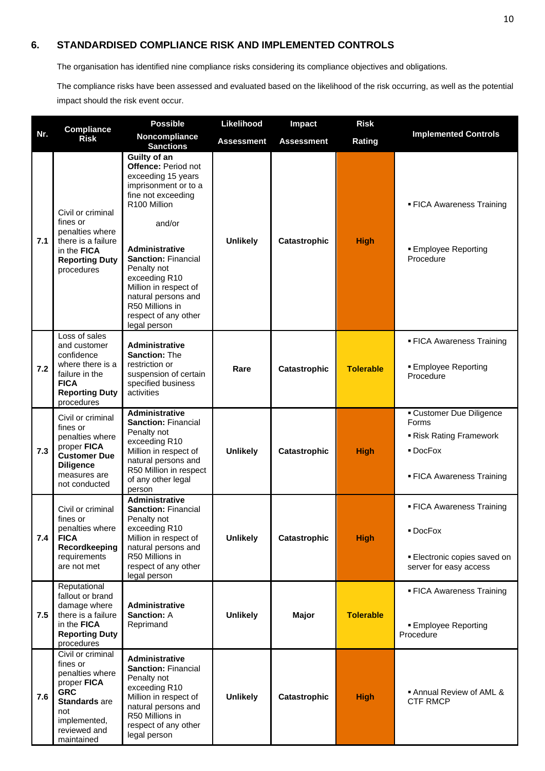# <span id="page-10-0"></span>**6. STANDARDISED COMPLIANCE RISK AND IMPLEMENTED CONTROLS**

The organisation has identified nine compliance risks considering its compliance objectives and obligations.

The compliance risks have been assessed and evaluated based on the likelihood of the risk occurring, as well as the potential impact should the risk event occur.

|     | Compliance<br><b>Risk</b>                                                                                                                                  | <b>Possible</b>                                                                                                                                                                                                                                                                                                                     | Likelihood        | Impact            | <b>Risk</b>      |                                                                                                        |
|-----|------------------------------------------------------------------------------------------------------------------------------------------------------------|-------------------------------------------------------------------------------------------------------------------------------------------------------------------------------------------------------------------------------------------------------------------------------------------------------------------------------------|-------------------|-------------------|------------------|--------------------------------------------------------------------------------------------------------|
| Nr. |                                                                                                                                                            | Noncompliance<br><b>Sanctions</b>                                                                                                                                                                                                                                                                                                   | <b>Assessment</b> | <b>Assessment</b> | Rating           | <b>Implemented Controls</b>                                                                            |
| 7.1 | Civil or criminal<br>fines or<br>penalties where<br>there is a failure<br>in the <b>FICA</b><br><b>Reporting Duty</b><br>procedures                        | Guilty of an<br>Offence: Period not<br>exceeding 15 years<br>imprisonment or to a<br>fine not exceeding<br>R100 Million<br>and/or<br><b>Administrative</b><br><b>Sanction: Financial</b><br>Penalty not<br>exceeding R10<br>Million in respect of<br>natural persons and<br>R50 Millions in<br>respect of any other<br>legal person | <b>Unlikely</b>   | Catastrophic      | <b>High</b>      | • FICA Awareness Training<br><b>Employee Reporting</b><br>Procedure                                    |
| 7.2 | Loss of sales<br>and customer<br>confidence<br>where there is a<br>failure in the<br><b>FICA</b><br><b>Reporting Duty</b><br>procedures                    | <b>Administrative</b><br><b>Sanction: The</b><br>restriction or<br>suspension of certain<br>specified business<br>activities                                                                                                                                                                                                        | Rare              | Catastrophic      | <b>Tolerable</b> | <b>FICA Awareness Training</b><br><b>Employee Reporting</b><br>Procedure                               |
| 7.3 | Civil or criminal<br>fines or<br>penalties where<br>proper FICA<br><b>Customer Due</b><br><b>Diligence</b><br>measures are<br>not conducted                | <b>Administrative</b><br><b>Sanction: Financial</b><br>Penalty not<br>exceeding R10<br>Million in respect of<br>natural persons and<br>R50 Million in respect<br>of any other legal<br>person                                                                                                                                       | <b>Unlikely</b>   | Catastrophic      | <b>High</b>      | <b>Customer Due Diligence</b><br>Forms<br>Risk Rating Framework<br>DocFox<br>• FICA Awareness Training |
| 7.4 | Civil or criminal<br>fines or<br>penalties where<br><b>FICA</b><br>Recordkeeping<br>requirements<br>are not met                                            | Administrative<br><b>Sanction: Financial</b><br>Penalty not<br>exceeding R10<br>Million in respect of<br>natural persons and<br>R50 Millions in<br>respect of any other<br>legal person                                                                                                                                             | <b>Unlikely</b>   | Catastrophic      | <b>High</b>      | • FICA Awareness Training<br>■ DocFox<br>Electronic copies saved on<br>server for easy access          |
| 7.5 | Reputational<br>fallout or brand<br>damage where<br>there is a failure<br>in the FICA<br><b>Reporting Duty</b><br>procedures                               | Administrative<br><b>Sanction: A</b><br>Reprimand                                                                                                                                                                                                                                                                                   | <b>Unlikely</b>   | <b>Major</b>      | <b>Tolerable</b> | • FICA Awareness Training<br><b>Employee Reporting</b><br>Procedure                                    |
| 7.6 | Civil or criminal<br>fines or<br>penalties where<br>proper FICA<br><b>GRC</b><br><b>Standards</b> are<br>not<br>implemented,<br>reviewed and<br>maintained | Administrative<br><b>Sanction: Financial</b><br>Penalty not<br>exceeding R10<br>Million in respect of<br>natural persons and<br>R50 Millions in<br>respect of any other<br>legal person                                                                                                                                             | <b>Unlikely</b>   | Catastrophic      | <b>High</b>      | ■ Annual Review of AML &<br><b>CTF RMCP</b>                                                            |